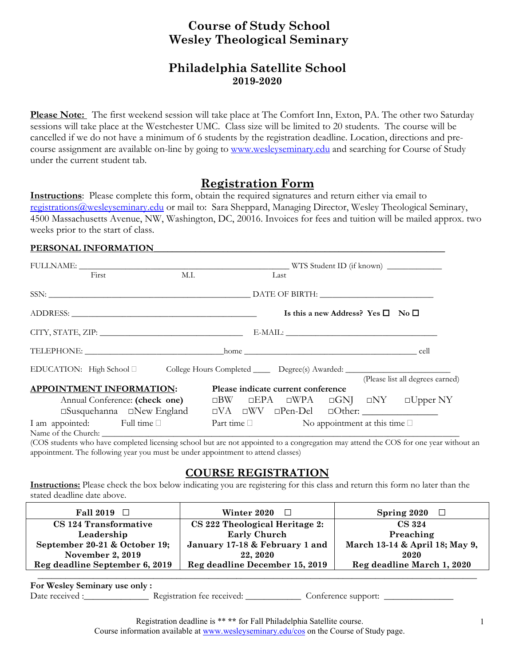# **Course of Study School Wesley Theological Seminary**

## **Philadelphia Satellite School 2019-2020**

**Please Note:** The first weekend session will take place at The Comfort Inn, Exton, PA. The other two Saturday sessions will take place at the Westchester UMC. Class size will be limited to 20 students. The course will be cancelled if we do not have a minimum of 6 students by the registration deadline. Location, directions and precourse assignment are available on-line by going to [www.wesleyseminary.edu](http://www.wesleyseminary.edu/) and searching for Course of Study under the current student tab.

### **Registration Form**

**Instructions**: Please complete this form, obtain the required signatures and return either via email to [registrations@wesleyseminary.edu](mailto:registrations@wesleyseminary.edu) or mail to: Sara Sheppard, Managing Director, Wesley Theological Seminary, 4500 Massachusetts Avenue, NW, Washington, DC, 20016. Invoices for fees and tuition will be mailed approx. two weeks prior to the start of class.

#### PERSONAL INFORMATION

|                                  | First                                                                                               | M.I. |  |  | Last                                                      |                                                   |  |                                                                      |  |
|----------------------------------|-----------------------------------------------------------------------------------------------------|------|--|--|-----------------------------------------------------------|---------------------------------------------------|--|----------------------------------------------------------------------|--|
|                                  |                                                                                                     |      |  |  |                                                           |                                                   |  |                                                                      |  |
|                                  |                                                                                                     |      |  |  |                                                           | Is this a new Address? Yes $\square$ No $\square$ |  |                                                                      |  |
|                                  |                                                                                                     |      |  |  |                                                           |                                                   |  |                                                                      |  |
|                                  |                                                                                                     |      |  |  |                                                           |                                                   |  |                                                                      |  |
|                                  | EDUCATION: High School □ College Hours Completed _______ Degree(s) Awarded: _______________________ |      |  |  |                                                           |                                                   |  |                                                                      |  |
|                                  |                                                                                                     |      |  |  |                                                           |                                                   |  | (Please list all degrees earned)                                     |  |
| <b>APPOINTMENT INFORMATION:</b>  |                                                                                                     |      |  |  | Please indicate current conference                        |                                                   |  |                                                                      |  |
|                                  | Annual Conference: (check one)                                                                      |      |  |  |                                                           |                                                   |  | $\Box$ BW $\Box$ EPA $\Box$ WPA $\Box$ GNJ $\Box$ NY $\Box$ Upper NY |  |
|                                  |                                                                                                     |      |  |  |                                                           |                                                   |  |                                                                      |  |
| I am appointed: Full time $\Box$ |                                                                                                     |      |  |  | Part time $\square$ No appointment at this time $\square$ |                                                   |  |                                                                      |  |
|                                  |                                                                                                     |      |  |  |                                                           |                                                   |  |                                                                      |  |

(COS students who have completed licensing school but are not appointed to a congregation may attend the COS for one year without an appointment. The following year you must be under appointment to attend classes)

### **COURSE REGISTRATION**

**Instructions:** Please check the box below indicating you are registering for this class and return this form no later than the stated deadline date above.

| <b>Fall 2019</b><br>$\Box$     | Winter 2020<br>$\Box$          | Spring 2020                    |
|--------------------------------|--------------------------------|--------------------------------|
| CS 124 Transformative          | CS 222 Theological Heritage 2: | <b>CS 324</b>                  |
| Leadership                     | <b>Early Church</b>            | Preaching                      |
| September 20-21 & October 19;  | January 17-18 & February 1 and | March 13-14 & April 18; May 9, |
| November 2, 2019               | 22, 2020                       | 2020                           |
| Reg deadline September 6, 2019 | Reg deadline December 15, 2019 | Reg deadline March 1, 2020     |

**\_\_\_\_\_\_\_\_\_\_\_\_\_\_\_\_\_\_\_\_\_\_\_\_\_\_\_\_\_\_\_\_\_\_\_\_\_\_\_\_\_\_\_\_\_\_\_\_\_\_\_\_\_\_\_\_\_\_\_\_\_\_\_\_\_\_\_\_\_\_\_\_\_\_\_\_\_\_\_\_\_\_\_\_\_\_\_\_\_\_\_\_\_\_\_**

**For Wesley Seminary use only :**

Date received : \_\_\_\_\_\_\_\_\_\_\_\_\_\_\_\_\_ Registration fee received: \_\_\_\_\_\_\_\_\_\_\_\_\_\_ Conference support:

Registration deadline is \*\* **\*\*** for Fall Philadelphia Satellite course. Course information available at [www.wesleyseminary.edu/cos](http://www.wesleyseminary.edu/cos) on the Course of Study page.